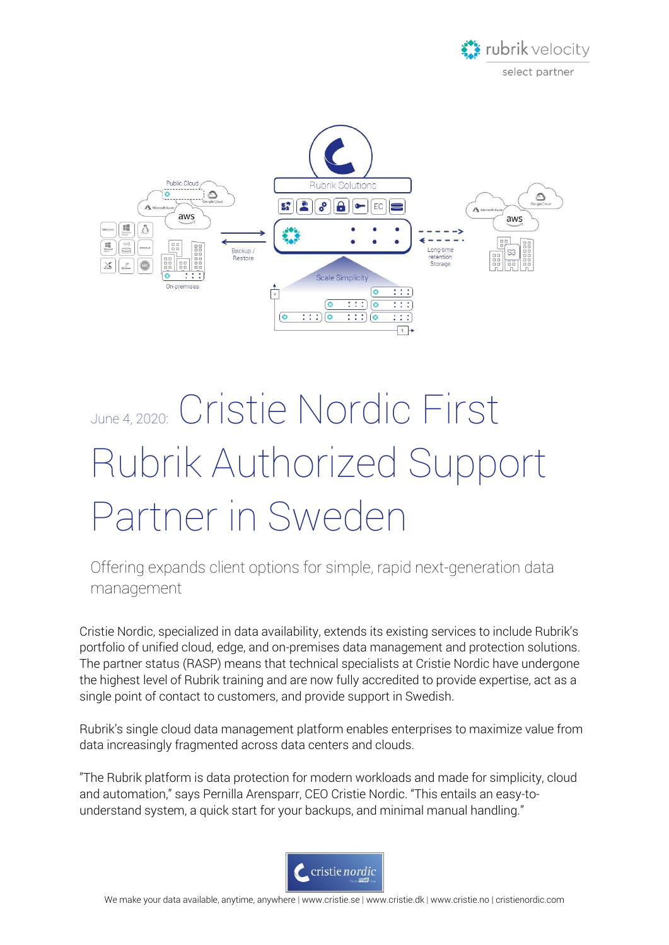



## June 4, 2020: Cristie Nordic First Rubrik Authorized Support Partner in Sweden

Offering expands client options for simple, rapid next-generation data management

Cristie Nordic, specialized in data availability, extends its existing services to include Rubrik's portfolio of unified cloud, edge, and on-premises data management and protection solutions. The partner status (RASP) means that technical specialists at Cristie Nordic have undergone the highest level of Rubrik training and are now fully accredited to provide expertise, act as a single point of contact to customers, and provide support in Swedish.

Rubrik's single cloud data management platform enables enterprises to maximize value from data increasingly fragmented across data centers and clouds.

"The Rubrik platform is data protection for modern workloads and made for simplicity, cloud and automation," says Pernilla Arensparr, CEO Cristie Nordic. "This entails an easy-tounderstand system, a quick start for your backups, and minimal manual handling."